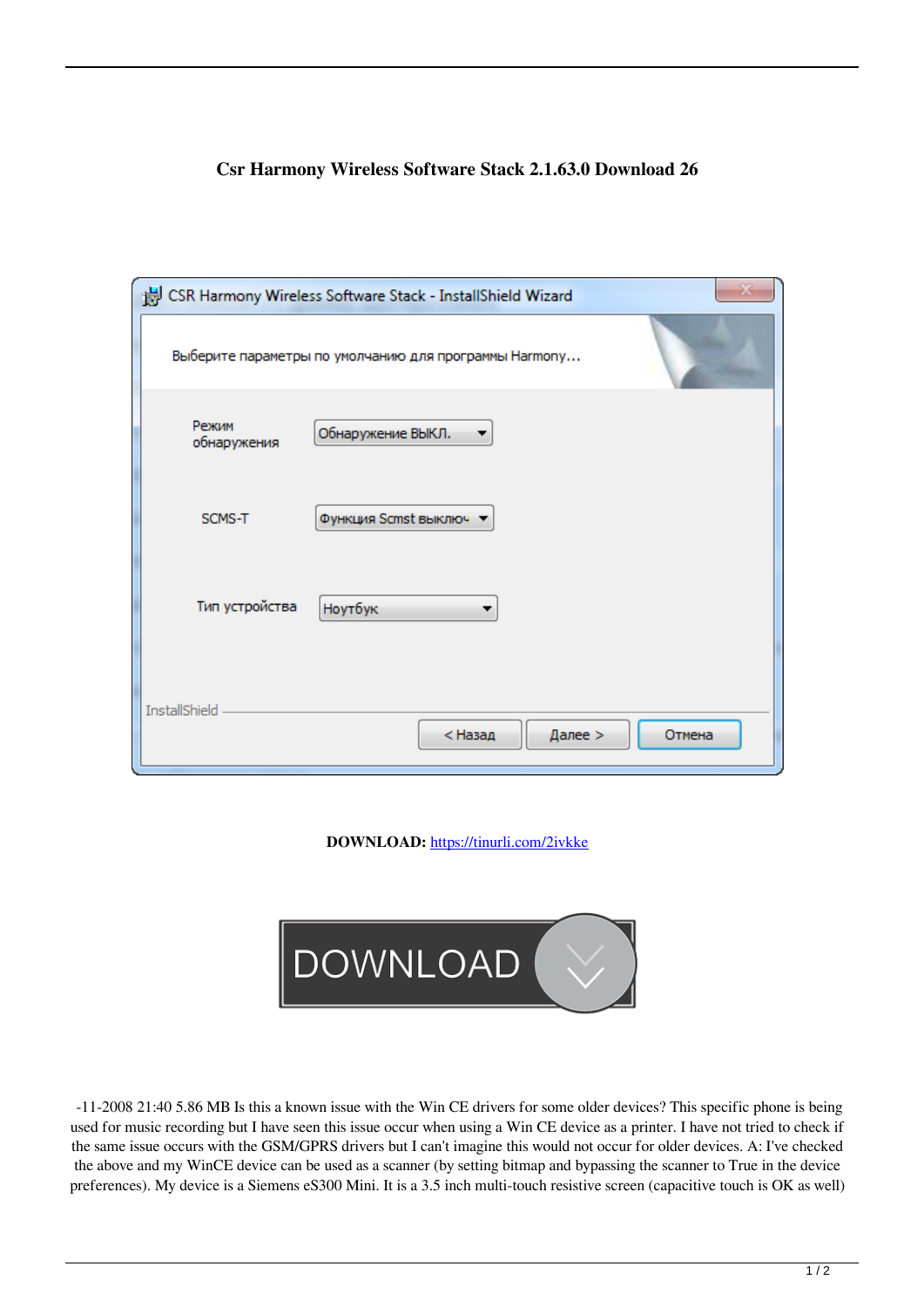## **Csr Harmony Wireless Software Stack 2.1.63.0 Download 26**

|                      | CSR Harmony Wireless Software Stack - InstallShield Wizard |        |
|----------------------|------------------------------------------------------------|--------|
|                      | Выберите параметры по умолчанию для программы Harmony      |        |
| Режим<br>обнаружения | Обнаружение ВЫКЛ.                                          |        |
| SCMS-T               | Функция Scmst выключ                                       |        |
| Тип устройства       | Ноутбук                                                    |        |
| InstallShield        | < Назад<br>Далее >                                         | Отмена |

**DOWNLOAD:** <https://tinurli.com/2ivkke>



 -11-2008 21:40 5.86 MB Is this a known issue with the Win CE drivers for some older devices? This specific phone is being used for music recording but I have seen this issue occur when using a Win CE device as a printer. I have not tried to check if the same issue occurs with the GSM/GPRS drivers but I can't imagine this would not occur for older devices. A: I've checked the above and my WinCE device can be used as a scanner (by setting bitmap and bypassing the scanner to True in the device preferences). My device is a Siemens eS300 Mini. It is a 3.5 inch multi-touch resistive screen (capacitive touch is OK as well)